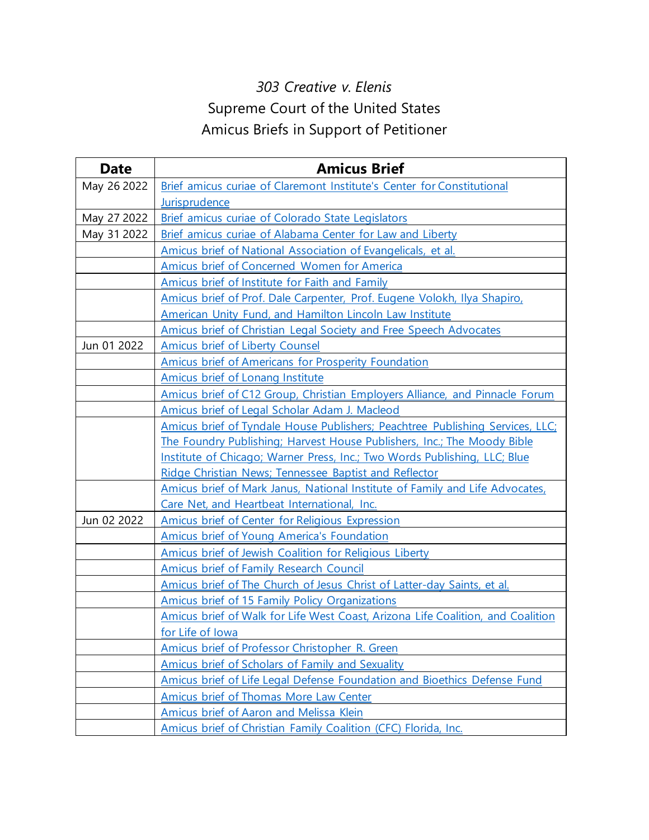## *303 Creative v. Elenis* Supreme Court of the United States Amicus Briefs in Support of Petitioner

| <b>Date</b> | <b>Amicus Brief</b>                                                             |
|-------------|---------------------------------------------------------------------------------|
| May 26 2022 | Brief amicus curiae of Claremont Institute's Center for Constitutional          |
|             | Jurisprudence                                                                   |
| May 27 2022 | Brief amicus curiae of Colorado State Legislators                               |
| May 31 2022 | Brief amicus curiae of Alabama Center for Law and Liberty                       |
|             | Amicus brief of National Association of Evangelicals, et al.                    |
|             | Amicus brief of Concerned Women for America                                     |
|             | Amicus brief of Institute for Faith and Family                                  |
|             | Amicus brief of Prof. Dale Carpenter, Prof. Eugene Volokh, Ilya Shapiro,        |
|             | American Unity Fund, and Hamilton Lincoln Law Institute                         |
|             | Amicus brief of Christian Legal Society and Free Speech Advocates               |
| Jun 01 2022 | Amicus brief of Liberty Counsel                                                 |
|             | <b>Amicus brief of Americans for Prosperity Foundation</b>                      |
|             | Amicus brief of Lonang Institute                                                |
|             | Amicus brief of C12 Group, Christian Employers Alliance, and Pinnacle Forum     |
|             | Amicus brief of Legal Scholar Adam J. Macleod                                   |
|             | Amicus brief of Tyndale House Publishers; Peachtree Publishing Services, LLC;   |
|             | The Foundry Publishing; Harvest House Publishers, Inc.; The Moody Bible         |
|             | Institute of Chicago; Warner Press, Inc.; Two Words Publishing, LLC; Blue       |
|             | Ridge Christian News; Tennessee Baptist and Reflector                           |
|             | Amicus brief of Mark Janus, National Institute of Family and Life Advocates,    |
|             | Care Net, and Heartbeat International, Inc.                                     |
| Jun 02 2022 | <b>Amicus brief of Center for Religious Expression</b>                          |
|             | Amicus brief of Young America's Foundation                                      |
|             | Amicus brief of Jewish Coalition for Religious Liberty                          |
|             | Amicus brief of Family Research Council                                         |
|             | Amicus brief of The Church of Jesus Christ of Latter-day Saints, et al.         |
|             | <b>Amicus brief of 15 Family Policy Organizations</b>                           |
|             | Amicus brief of Walk for Life West Coast, Arizona Life Coalition, and Coalition |
|             | for Life of Iowa                                                                |
|             | Amicus brief of Professor Christopher R. Green                                  |
|             | Amicus brief of Scholars of Family and Sexuality                                |
|             | Amicus brief of Life Legal Defense Foundation and Bioethics Defense Fund        |
|             | Amicus brief of Thomas More Law Center                                          |
|             | Amicus brief of Aaron and Melissa Klein                                         |
|             | <b>Amicus brief of Christian Family Coalition (CFC) Florida, Inc.</b>           |